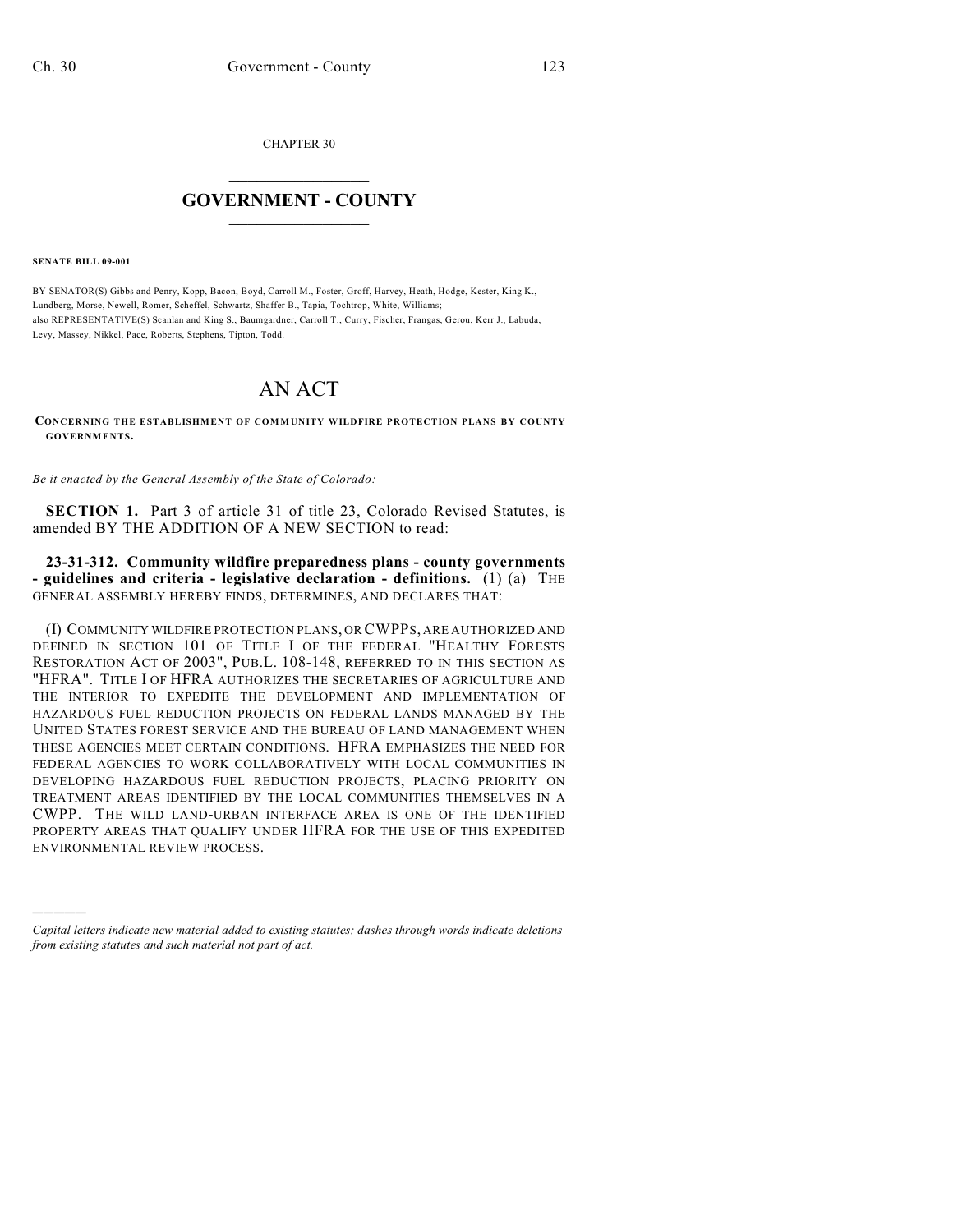CHAPTER 30

## $\mathcal{L}_\text{max}$  . The set of the set of the set of the set of the set of the set of the set of the set of the set of the set of the set of the set of the set of the set of the set of the set of the set of the set of the set **GOVERNMENT - COUNTY**  $\_$

**SENATE BILL 09-001**

)))))

BY SENATOR(S) Gibbs and Penry, Kopp, Bacon, Boyd, Carroll M., Foster, Groff, Harvey, Heath, Hodge, Kester, King K., Lundberg, Morse, Newell, Romer, Scheffel, Schwartz, Shaffer B., Tapia, Tochtrop, White, Williams; also REPRESENTATIVE(S) Scanlan and King S., Baumgardner, Carroll T., Curry, Fischer, Frangas, Gerou, Kerr J., Labuda, Levy, Massey, Nikkel, Pace, Roberts, Stephens, Tipton, Todd.

## AN ACT

**CONCERNING THE ESTABLISHMENT OF COMMUNITY WILDFIRE PROTECTION PLANS BY COUNTY GOVERNMENTS.**

*Be it enacted by the General Assembly of the State of Colorado:*

**SECTION 1.** Part 3 of article 31 of title 23, Colorado Revised Statutes, is amended BY THE ADDITION OF A NEW SECTION to read:

**23-31-312. Community wildfire preparedness plans - county governments - guidelines and criteria - legislative declaration - definitions.** (1) (a) THE GENERAL ASSEMBLY HEREBY FINDS, DETERMINES, AND DECLARES THAT:

(I) COMMUNITY WILDFIRE PROTECTION PLANS, OR CWPPS, ARE AUTHORIZED AND DEFINED IN SECTION 101 OF TITLE I OF THE FEDERAL "HEALTHY FORESTS RESTORATION ACT OF 2003", PUB.L. 108-148, REFERRED TO IN THIS SECTION AS "HFRA". TITLE I OF HFRA AUTHORIZES THE SECRETARIES OF AGRICULTURE AND THE INTERIOR TO EXPEDITE THE DEVELOPMENT AND IMPLEMENTATION OF HAZARDOUS FUEL REDUCTION PROJECTS ON FEDERAL LANDS MANAGED BY THE UNITED STATES FOREST SERVICE AND THE BUREAU OF LAND MANAGEMENT WHEN THESE AGENCIES MEET CERTAIN CONDITIONS. HFRA EMPHASIZES THE NEED FOR FEDERAL AGENCIES TO WORK COLLABORATIVELY WITH LOCAL COMMUNITIES IN DEVELOPING HAZARDOUS FUEL REDUCTION PROJECTS, PLACING PRIORITY ON TREATMENT AREAS IDENTIFIED BY THE LOCAL COMMUNITIES THEMSELVES IN A CWPP. THE WILD LAND-URBAN INTERFACE AREA IS ONE OF THE IDENTIFIED PROPERTY AREAS THAT QUALIFY UNDER HFRA FOR THE USE OF THIS EXPEDITED ENVIRONMENTAL REVIEW PROCESS.

*Capital letters indicate new material added to existing statutes; dashes through words indicate deletions from existing statutes and such material not part of act.*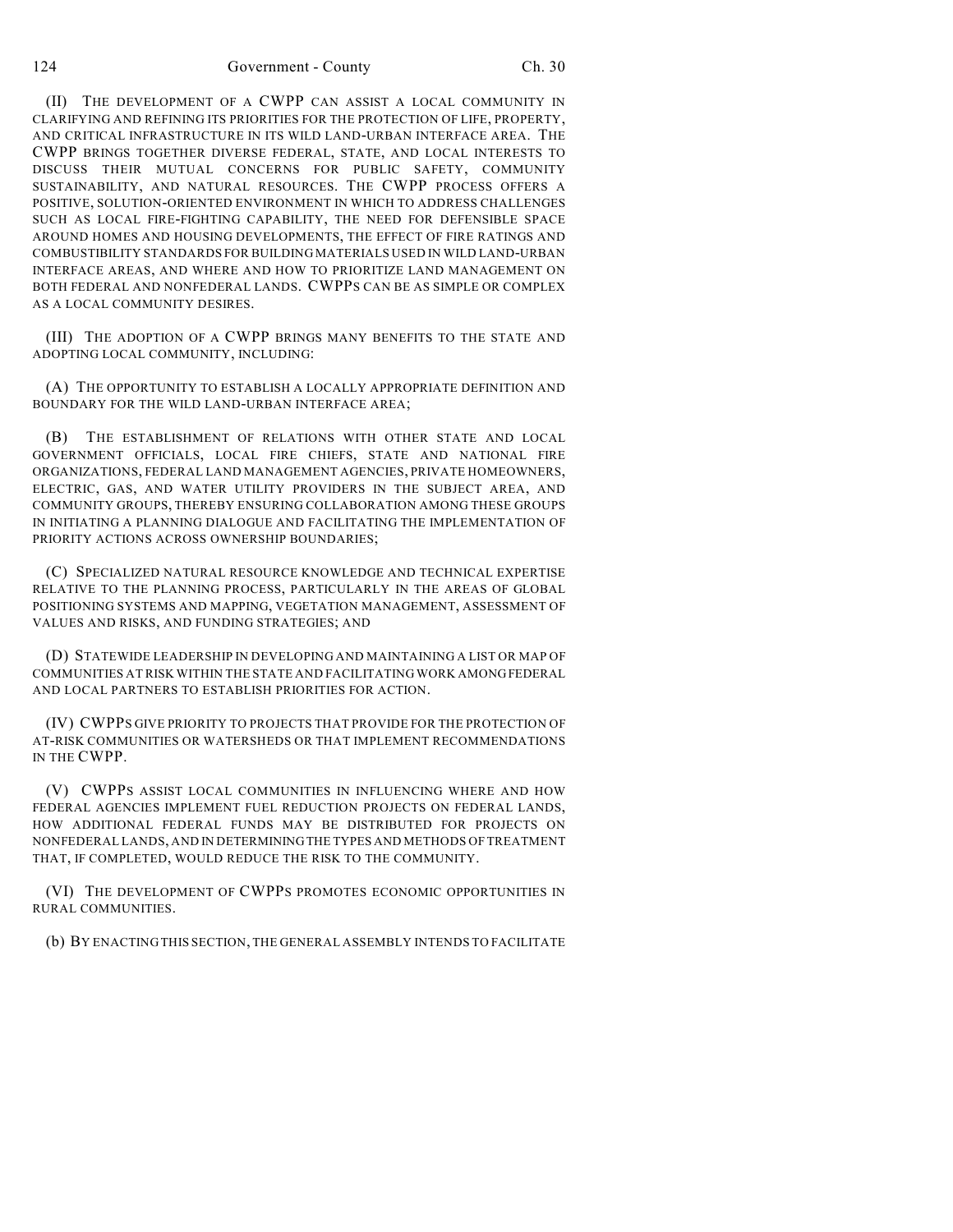(II) THE DEVELOPMENT OF A CWPP CAN ASSIST A LOCAL COMMUNITY IN CLARIFYING AND REFINING ITS PRIORITIES FOR THE PROTECTION OF LIFE, PROPERTY, AND CRITICAL INFRASTRUCTURE IN ITS WILD LAND-URBAN INTERFACE AREA. THE CWPP BRINGS TOGETHER DIVERSE FEDERAL, STATE, AND LOCAL INTERESTS TO DISCUSS THEIR MUTUAL CONCERNS FOR PUBLIC SAFETY, COMMUNITY SUSTAINABILITY, AND NATURAL RESOURCES. THE CWPP PROCESS OFFERS A POSITIVE, SOLUTION-ORIENTED ENVIRONMENT IN WHICH TO ADDRESS CHALLENGES SUCH AS LOCAL FIRE-FIGHTING CAPABILITY, THE NEED FOR DEFENSIBLE SPACE AROUND HOMES AND HOUSING DEVELOPMENTS, THE EFFECT OF FIRE RATINGS AND COMBUSTIBILITY STANDARDS FOR BUILDING MATERIALS USED IN WILD LAND-URBAN INTERFACE AREAS, AND WHERE AND HOW TO PRIORITIZE LAND MANAGEMENT ON BOTH FEDERAL AND NONFEDERAL LANDS. CWPPS CAN BE AS SIMPLE OR COMPLEX AS A LOCAL COMMUNITY DESIRES.

(III) THE ADOPTION OF A CWPP BRINGS MANY BENEFITS TO THE STATE AND ADOPTING LOCAL COMMUNITY, INCLUDING:

(A) THE OPPORTUNITY TO ESTABLISH A LOCALLY APPROPRIATE DEFINITION AND BOUNDARY FOR THE WILD LAND-URBAN INTERFACE AREA;

(B) THE ESTABLISHMENT OF RELATIONS WITH OTHER STATE AND LOCAL GOVERNMENT OFFICIALS, LOCAL FIRE CHIEFS, STATE AND NATIONAL FIRE ORGANIZATIONS, FEDERAL LAND MANAGEMENT AGENCIES, PRIVATE HOMEOWNERS, ELECTRIC, GAS, AND WATER UTILITY PROVIDERS IN THE SUBJECT AREA, AND COMMUNITY GROUPS, THEREBY ENSURING COLLABORATION AMONG THESE GROUPS IN INITIATING A PLANNING DIALOGUE AND FACILITATING THE IMPLEMENTATION OF PRIORITY ACTIONS ACROSS OWNERSHIP BOUNDARIES;

(C) SPECIALIZED NATURAL RESOURCE KNOWLEDGE AND TECHNICAL EXPERTISE RELATIVE TO THE PLANNING PROCESS, PARTICULARLY IN THE AREAS OF GLOBAL POSITIONING SYSTEMS AND MAPPING, VEGETATION MANAGEMENT, ASSESSMENT OF VALUES AND RISKS, AND FUNDING STRATEGIES; AND

(D) STATEWIDE LEADERSHIP IN DEVELOPING AND MAINTAINING A LIST OR MAP OF COMMUNITIES AT RISK WITHIN THE STATE AND FACILITATING WORK AMONG FEDERAL AND LOCAL PARTNERS TO ESTABLISH PRIORITIES FOR ACTION.

(IV) CWPPS GIVE PRIORITY TO PROJECTS THAT PROVIDE FOR THE PROTECTION OF AT-RISK COMMUNITIES OR WATERSHEDS OR THAT IMPLEMENT RECOMMENDATIONS IN THE CWPP.

(V) CWPPS ASSIST LOCAL COMMUNITIES IN INFLUENCING WHERE AND HOW FEDERAL AGENCIES IMPLEMENT FUEL REDUCTION PROJECTS ON FEDERAL LANDS, HOW ADDITIONAL FEDERAL FUNDS MAY BE DISTRIBUTED FOR PROJECTS ON NONFEDERAL LANDS, AND IN DETERMINING THE TYPES AND METHODS OF TREATMENT THAT, IF COMPLETED, WOULD REDUCE THE RISK TO THE COMMUNITY.

(VI) THE DEVELOPMENT OF CWPPS PROMOTES ECONOMIC OPPORTUNITIES IN RURAL COMMUNITIES.

(b) BY ENACTING THIS SECTION, THE GENERAL ASSEMBLY INTENDS TO FACILITATE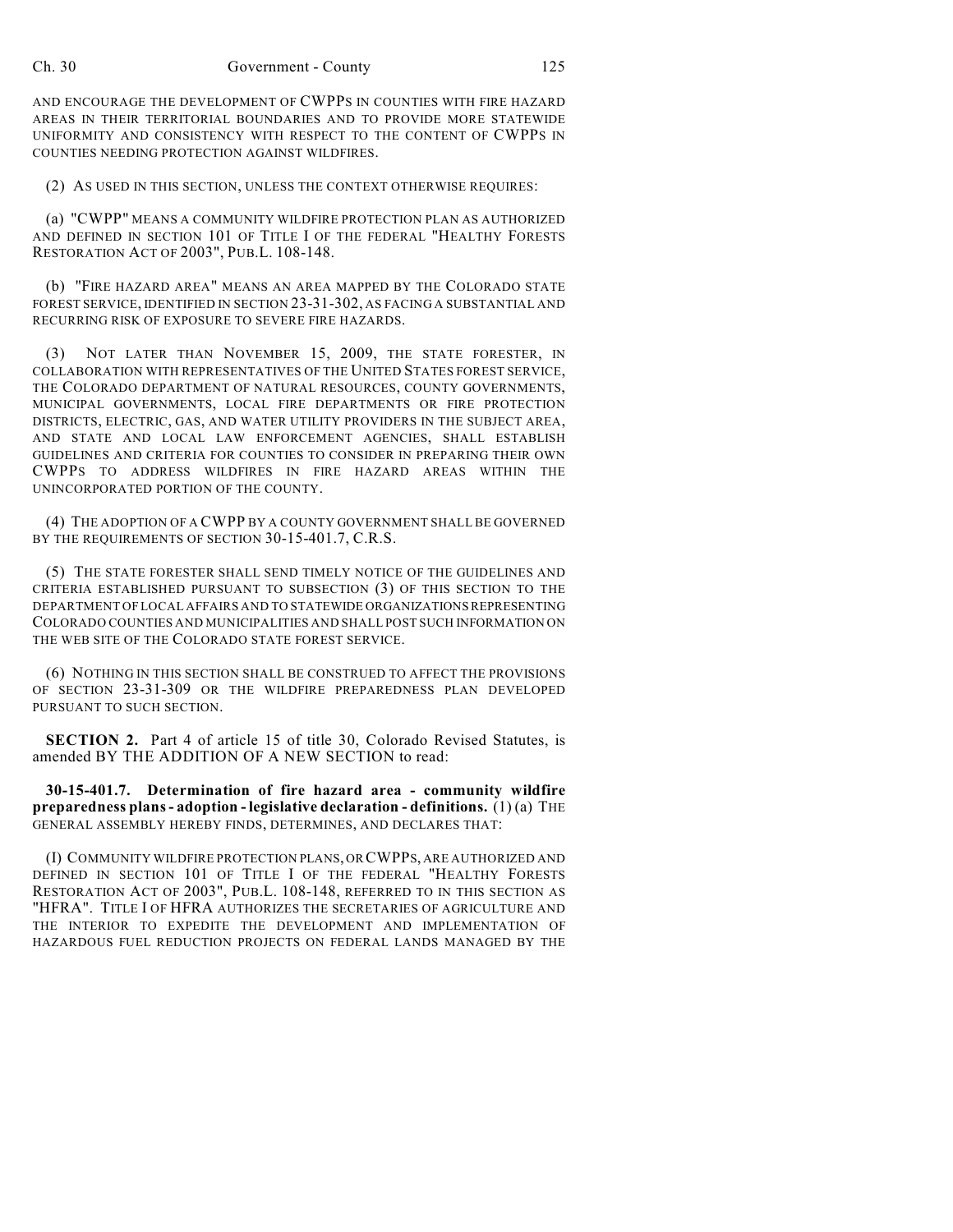AND ENCOURAGE THE DEVELOPMENT OF CWPPS IN COUNTIES WITH FIRE HAZARD AREAS IN THEIR TERRITORIAL BOUNDARIES AND TO PROVIDE MORE STATEWIDE UNIFORMITY AND CONSISTENCY WITH RESPECT TO THE CONTENT OF CWPPS IN COUNTIES NEEDING PROTECTION AGAINST WILDFIRES.

(2) AS USED IN THIS SECTION, UNLESS THE CONTEXT OTHERWISE REQUIRES:

(a) "CWPP" MEANS A COMMUNITY WILDFIRE PROTECTION PLAN AS AUTHORIZED AND DEFINED IN SECTION 101 OF TITLE I OF THE FEDERAL "HEALTHY FORESTS RESTORATION ACT OF 2003", PUB.L. 108-148.

(b) "FIRE HAZARD AREA" MEANS AN AREA MAPPED BY THE COLORADO STATE FOREST SERVICE, IDENTIFIED IN SECTION 23-31-302, AS FACING A SUBSTANTIAL AND RECURRING RISK OF EXPOSURE TO SEVERE FIRE HAZARDS.

(3) NOT LATER THAN NOVEMBER 15, 2009, THE STATE FORESTER, IN COLLABORATION WITH REPRESENTATIVES OF THE UNITED STATES FOREST SERVICE, THE COLORADO DEPARTMENT OF NATURAL RESOURCES, COUNTY GOVERNMENTS, MUNICIPAL GOVERNMENTS, LOCAL FIRE DEPARTMENTS OR FIRE PROTECTION DISTRICTS, ELECTRIC, GAS, AND WATER UTILITY PROVIDERS IN THE SUBJECT AREA, AND STATE AND LOCAL LAW ENFORCEMENT AGENCIES, SHALL ESTABLISH GUIDELINES AND CRITERIA FOR COUNTIES TO CONSIDER IN PREPARING THEIR OWN CWPPS TO ADDRESS WILDFIRES IN FIRE HAZARD AREAS WITHIN THE UNINCORPORATED PORTION OF THE COUNTY.

(4) THE ADOPTION OF A CWPP BY A COUNTY GOVERNMENT SHALL BE GOVERNED BY THE REQUIREMENTS OF SECTION 30-15-401.7, C.R.S.

(5) THE STATE FORESTER SHALL SEND TIMELY NOTICE OF THE GUIDELINES AND CRITERIA ESTABLISHED PURSUANT TO SUBSECTION (3) OF THIS SECTION TO THE DEPARTMENT OF LOCAL AFFAIRS AND TO STATEWIDE ORGANIZATIONS REPRESENTING COLORADO COUNTIES AND MUNICIPALITIES AND SHALL POST SUCH INFORMATION ON THE WEB SITE OF THE COLORADO STATE FOREST SERVICE.

(6) NOTHING IN THIS SECTION SHALL BE CONSTRUED TO AFFECT THE PROVISIONS OF SECTION 23-31-309 OR THE WILDFIRE PREPAREDNESS PLAN DEVELOPED PURSUANT TO SUCH SECTION.

**SECTION 2.** Part 4 of article 15 of title 30, Colorado Revised Statutes, is amended BY THE ADDITION OF A NEW SECTION to read:

**30-15-401.7. Determination of fire hazard area - community wildfire preparedness plans - adoption - legislative declaration - definitions.** (1) (a) THE GENERAL ASSEMBLY HEREBY FINDS, DETERMINES, AND DECLARES THAT:

(I) COMMUNITY WILDFIRE PROTECTION PLANS, OR CWPPS, ARE AUTHORIZED AND DEFINED IN SECTION 101 OF TITLE I OF THE FEDERAL "HEALTHY FORESTS RESTORATION ACT OF 2003", PUB.L. 108-148, REFERRED TO IN THIS SECTION AS "HFRA". TITLE I OF HFRA AUTHORIZES THE SECRETARIES OF AGRICULTURE AND THE INTERIOR TO EXPEDITE THE DEVELOPMENT AND IMPLEMENTATION OF HAZARDOUS FUEL REDUCTION PROJECTS ON FEDERAL LANDS MANAGED BY THE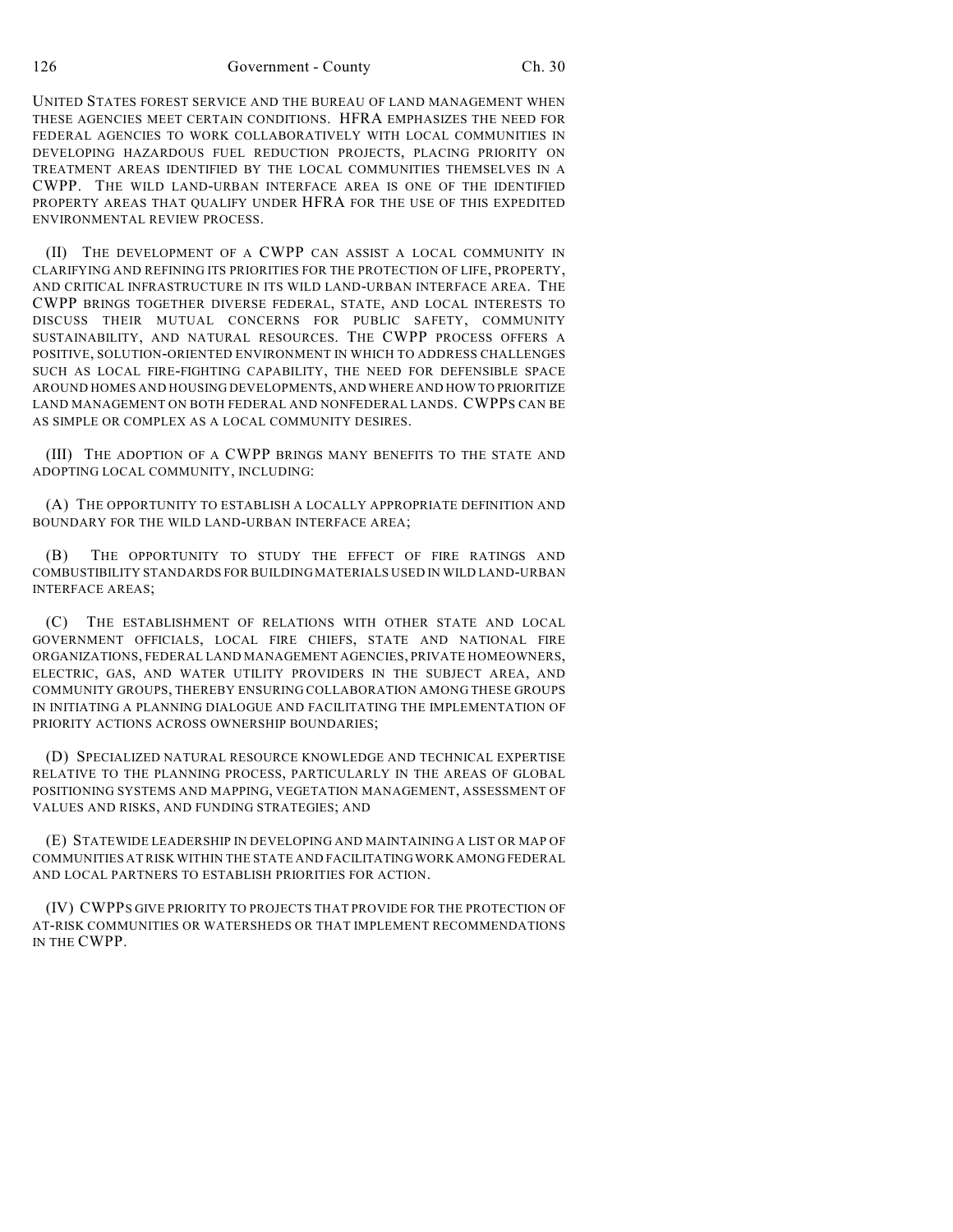126 Government - County Ch. 30

UNITED STATES FOREST SERVICE AND THE BUREAU OF LAND MANAGEMENT WHEN THESE AGENCIES MEET CERTAIN CONDITIONS. HFRA EMPHASIZES THE NEED FOR FEDERAL AGENCIES TO WORK COLLABORATIVELY WITH LOCAL COMMUNITIES IN DEVELOPING HAZARDOUS FUEL REDUCTION PROJECTS, PLACING PRIORITY ON TREATMENT AREAS IDENTIFIED BY THE LOCAL COMMUNITIES THEMSELVES IN A CWPP. THE WILD LAND-URBAN INTERFACE AREA IS ONE OF THE IDENTIFIED PROPERTY AREAS THAT QUALIFY UNDER HFRA FOR THE USE OF THIS EXPEDITED ENVIRONMENTAL REVIEW PROCESS.

(II) THE DEVELOPMENT OF A CWPP CAN ASSIST A LOCAL COMMUNITY IN CLARIFYING AND REFINING ITS PRIORITIES FOR THE PROTECTION OF LIFE, PROPERTY, AND CRITICAL INFRASTRUCTURE IN ITS WILD LAND-URBAN INTERFACE AREA. THE CWPP BRINGS TOGETHER DIVERSE FEDERAL, STATE, AND LOCAL INTERESTS TO DISCUSS THEIR MUTUAL CONCERNS FOR PUBLIC SAFETY, COMMUNITY SUSTAINABILITY, AND NATURAL RESOURCES. THE CWPP PROCESS OFFERS A POSITIVE, SOLUTION-ORIENTED ENVIRONMENT IN WHICH TO ADDRESS CHALLENGES SUCH AS LOCAL FIRE-FIGHTING CAPABILITY, THE NEED FOR DEFENSIBLE SPACE AROUND HOMES AND HOUSING DEVELOPMENTS, AND WHERE AND HOW TO PRIORITIZE LAND MANAGEMENT ON BOTH FEDERAL AND NONFEDERAL LANDS. CWPPS CAN BE AS SIMPLE OR COMPLEX AS A LOCAL COMMUNITY DESIRES.

(III) THE ADOPTION OF A CWPP BRINGS MANY BENEFITS TO THE STATE AND ADOPTING LOCAL COMMUNITY, INCLUDING:

(A) THE OPPORTUNITY TO ESTABLISH A LOCALLY APPROPRIATE DEFINITION AND BOUNDARY FOR THE WILD LAND-URBAN INTERFACE AREA;

(B) THE OPPORTUNITY TO STUDY THE EFFECT OF FIRE RATINGS AND COMBUSTIBILITY STANDARDS FOR BUILDING MATERIALS USED IN WILD LAND-URBAN INTERFACE AREAS;

(C) THE ESTABLISHMENT OF RELATIONS WITH OTHER STATE AND LOCAL GOVERNMENT OFFICIALS, LOCAL FIRE CHIEFS, STATE AND NATIONAL FIRE ORGANIZATIONS, FEDERAL LAND MANAGEMENT AGENCIES, PRIVATE HOMEOWNERS, ELECTRIC, GAS, AND WATER UTILITY PROVIDERS IN THE SUBJECT AREA, AND COMMUNITY GROUPS, THEREBY ENSURING COLLABORATION AMONG THESE GROUPS IN INITIATING A PLANNING DIALOGUE AND FACILITATING THE IMPLEMENTATION OF PRIORITY ACTIONS ACROSS OWNERSHIP BOUNDARIES;

(D) SPECIALIZED NATURAL RESOURCE KNOWLEDGE AND TECHNICAL EXPERTISE RELATIVE TO THE PLANNING PROCESS, PARTICULARLY IN THE AREAS OF GLOBAL POSITIONING SYSTEMS AND MAPPING, VEGETATION MANAGEMENT, ASSESSMENT OF VALUES AND RISKS, AND FUNDING STRATEGIES; AND

(E) STATEWIDE LEADERSHIP IN DEVELOPING AND MAINTAINING A LIST OR MAP OF COMMUNITIES AT RISK WITHIN THE STATE AND FACILITATING WORK AMONG FEDERAL AND LOCAL PARTNERS TO ESTABLISH PRIORITIES FOR ACTION.

(IV) CWPPS GIVE PRIORITY TO PROJECTS THAT PROVIDE FOR THE PROTECTION OF AT-RISK COMMUNITIES OR WATERSHEDS OR THAT IMPLEMENT RECOMMENDATIONS IN THE CWPP.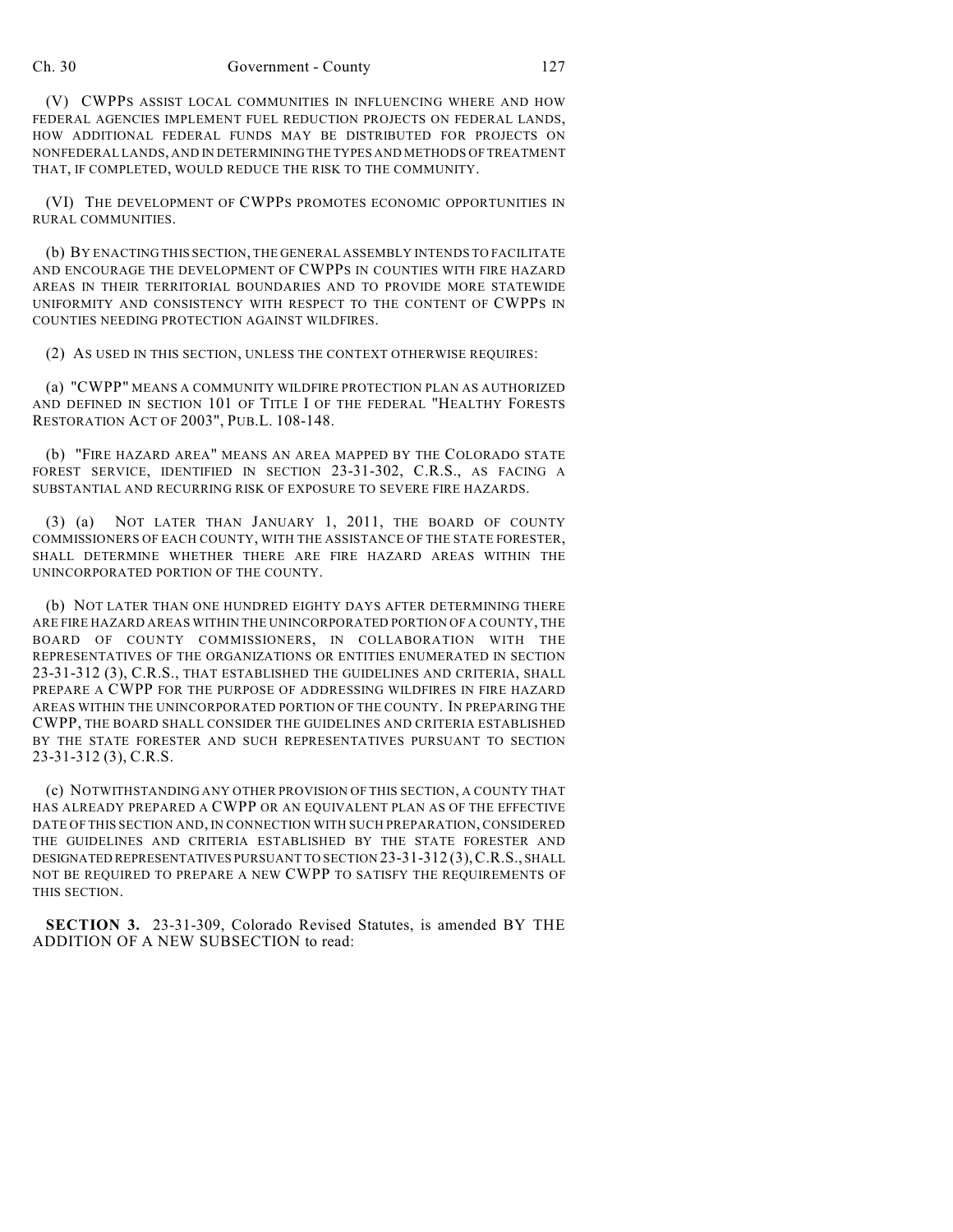(V) CWPPS ASSIST LOCAL COMMUNITIES IN INFLUENCING WHERE AND HOW FEDERAL AGENCIES IMPLEMENT FUEL REDUCTION PROJECTS ON FEDERAL LANDS, HOW ADDITIONAL FEDERAL FUNDS MAY BE DISTRIBUTED FOR PROJECTS ON NONFEDERAL LANDS, AND IN DETERMINING THE TYPES AND METHODS OF TREATMENT THAT, IF COMPLETED, WOULD REDUCE THE RISK TO THE COMMUNITY.

(VI) THE DEVELOPMENT OF CWPPS PROMOTES ECONOMIC OPPORTUNITIES IN RURAL COMMUNITIES.

(b) BY ENACTING THIS SECTION, THE GENERAL ASSEMBLY INTENDS TO FACILITATE AND ENCOURAGE THE DEVELOPMENT OF CWPPS IN COUNTIES WITH FIRE HAZARD AREAS IN THEIR TERRITORIAL BOUNDARIES AND TO PROVIDE MORE STATEWIDE UNIFORMITY AND CONSISTENCY WITH RESPECT TO THE CONTENT OF CWPPS IN COUNTIES NEEDING PROTECTION AGAINST WILDFIRES.

(2) AS USED IN THIS SECTION, UNLESS THE CONTEXT OTHERWISE REQUIRES:

(a) "CWPP" MEANS A COMMUNITY WILDFIRE PROTECTION PLAN AS AUTHORIZED AND DEFINED IN SECTION 101 OF TITLE I OF THE FEDERAL "HEALTHY FORESTS RESTORATION ACT OF 2003", PUB.L. 108-148.

(b) "FIRE HAZARD AREA" MEANS AN AREA MAPPED BY THE COLORADO STATE FOREST SERVICE, IDENTIFIED IN SECTION 23-31-302, C.R.S., AS FACING A SUBSTANTIAL AND RECURRING RISK OF EXPOSURE TO SEVERE FIRE HAZARDS.

(3) (a) NOT LATER THAN JANUARY 1, 2011, THE BOARD OF COUNTY COMMISSIONERS OF EACH COUNTY, WITH THE ASSISTANCE OF THE STATE FORESTER, SHALL DETERMINE WHETHER THERE ARE FIRE HAZARD AREAS WITHIN THE UNINCORPORATED PORTION OF THE COUNTY.

(b) NOT LATER THAN ONE HUNDRED EIGHTY DAYS AFTER DETERMINING THERE ARE FIRE HAZARD AREAS WITHIN THE UNINCORPORATED PORTION OF A COUNTY, THE BOARD OF COUNTY COMMISSIONERS, IN COLLABORATION WITH THE REPRESENTATIVES OF THE ORGANIZATIONS OR ENTITIES ENUMERATED IN SECTION 23-31-312 (3), C.R.S., THAT ESTABLISHED THE GUIDELINES AND CRITERIA, SHALL PREPARE A CWPP FOR THE PURPOSE OF ADDRESSING WILDFIRES IN FIRE HAZARD AREAS WITHIN THE UNINCORPORATED PORTION OF THE COUNTY. IN PREPARING THE CWPP, THE BOARD SHALL CONSIDER THE GUIDELINES AND CRITERIA ESTABLISHED BY THE STATE FORESTER AND SUCH REPRESENTATIVES PURSUANT TO SECTION 23-31-312 (3), C.R.S.

(c) NOTWITHSTANDING ANY OTHER PROVISION OF THIS SECTION, A COUNTY THAT HAS ALREADY PREPARED A CWPP OR AN EQUIVALENT PLAN AS OF THE EFFECTIVE DATE OF THIS SECTION AND, IN CONNECTION WITH SUCH PREPARATION, CONSIDERED THE GUIDELINES AND CRITERIA ESTABLISHED BY THE STATE FORESTER AND DESIGNATED REPRESENTATIVES PURSUANT TO SECTION 23-31-312 (3),C.R.S., SHALL NOT BE REQUIRED TO PREPARE A NEW CWPP TO SATISFY THE REQUIREMENTS OF THIS SECTION.

**SECTION 3.** 23-31-309, Colorado Revised Statutes, is amended BY THE ADDITION OF A NEW SUBSECTION to read: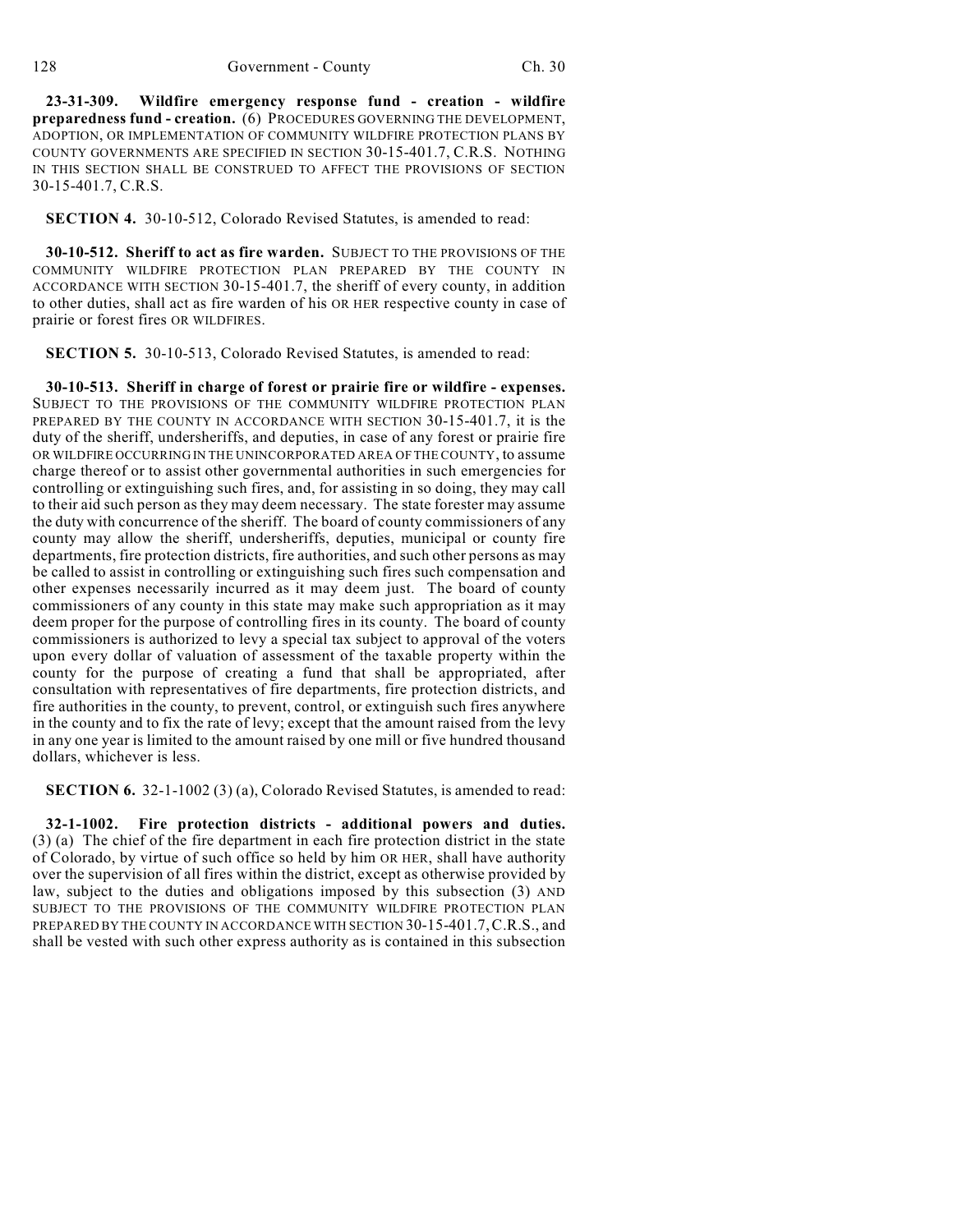**23-31-309. Wildfire emergency response fund - creation - wildfire preparedness fund - creation.** (6) PROCEDURES GOVERNING THE DEVELOPMENT, ADOPTION, OR IMPLEMENTATION OF COMMUNITY WILDFIRE PROTECTION PLANS BY COUNTY GOVERNMENTS ARE SPECIFIED IN SECTION 30-15-401.7, C.R.S. NOTHING IN THIS SECTION SHALL BE CONSTRUED TO AFFECT THE PROVISIONS OF SECTION 30-15-401.7, C.R.S.

**SECTION 4.** 30-10-512, Colorado Revised Statutes, is amended to read:

**30-10-512. Sheriff to act as fire warden.** SUBJECT TO THE PROVISIONS OF THE COMMUNITY WILDFIRE PROTECTION PLAN PREPARED BY THE COUNTY IN ACCORDANCE WITH SECTION 30-15-401.7, the sheriff of every county, in addition to other duties, shall act as fire warden of his OR HER respective county in case of prairie or forest fires OR WILDFIRES.

**SECTION 5.** 30-10-513, Colorado Revised Statutes, is amended to read:

**30-10-513. Sheriff in charge of forest or prairie fire or wildfire - expenses.** SUBJECT TO THE PROVISIONS OF THE COMMUNITY WILDFIRE PROTECTION PLAN PREPARED BY THE COUNTY IN ACCORDANCE WITH SECTION 30-15-401.7, it is the duty of the sheriff, undersheriffs, and deputies, in case of any forest or prairie fire OR WILDFIRE OCCURRING IN THE UNINCORPORATED AREA OF THE COUNTY, to assume charge thereof or to assist other governmental authorities in such emergencies for controlling or extinguishing such fires, and, for assisting in so doing, they may call to their aid such person as they may deem necessary. The state forester may assume the duty with concurrence of the sheriff. The board of county commissioners of any county may allow the sheriff, undersheriffs, deputies, municipal or county fire departments, fire protection districts, fire authorities, and such other persons as may be called to assist in controlling or extinguishing such fires such compensation and other expenses necessarily incurred as it may deem just. The board of county commissioners of any county in this state may make such appropriation as it may deem proper for the purpose of controlling fires in its county. The board of county commissioners is authorized to levy a special tax subject to approval of the voters upon every dollar of valuation of assessment of the taxable property within the county for the purpose of creating a fund that shall be appropriated, after consultation with representatives of fire departments, fire protection districts, and fire authorities in the county, to prevent, control, or extinguish such fires anywhere in the county and to fix the rate of levy; except that the amount raised from the levy in any one year is limited to the amount raised by one mill or five hundred thousand dollars, whichever is less.

**SECTION 6.** 32-1-1002 (3) (a), Colorado Revised Statutes, is amended to read:

**32-1-1002. Fire protection districts - additional powers and duties.** (3) (a) The chief of the fire department in each fire protection district in the state of Colorado, by virtue of such office so held by him OR HER, shall have authority over the supervision of all fires within the district, except as otherwise provided by law, subject to the duties and obligations imposed by this subsection (3) AND SUBJECT TO THE PROVISIONS OF THE COMMUNITY WILDFIRE PROTECTION PLAN PREPARED BY THE COUNTY IN ACCORDANCE WITH SECTION 30-15-401.7,C.R.S., and shall be vested with such other express authority as is contained in this subsection